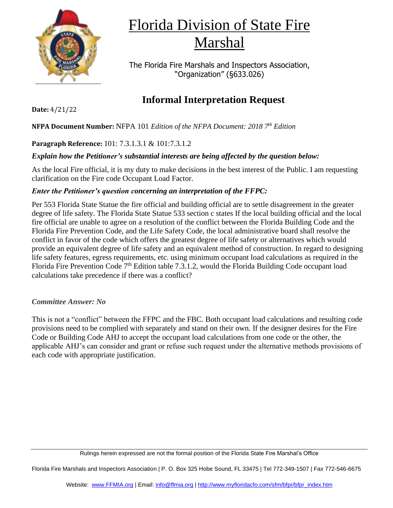

# Florida Division of State Fire Marshal

The Florida Fire Marshals and Inspectors Association, "Organization" (§633.026)

## **Informal Interpretation Request**

**NFPA Document Number:** NFPA 101 *Edition of the NFPA Document: 2018 7 th Edition*

### **Paragraph Reference:** 101: 7.3.1.3.1 & 101:7.3.1.2

### *Explain how the Petitioner's substantial interests are being affected by the question below:*

As the local Fire official, it is my duty to make decisions in the best interest of the Public. I am requesting clarification on the Fire code Occupant Load Factor.

#### *Enter the Petitioner's question concerning an interpretation of the FFPC:*

Per 553 Florida State Statue the fire official and building official are to settle disagreement in the greater degree of life safety. The Florida State Statue 533 section c states If the local building official and the local fire official are unable to agree on a resolution of the conflict between the Florida Building Code and the Florida Fire Prevention Code, and the Life Safety Code, the local administrative board shall resolve the conflict in favor of the code which offers the greatest degree of life safety or alternatives which would provide an equivalent degree of life safety and an equivalent method of construction. In regard to designing life safety features, egress requirements, etc. using minimum occupant load calculations as required in the Florida Fire Prevention Code 7<sup>th</sup> Edition table 7.3.1.2, would the Florida Building Code occupant load calculations take precedence if there was a conflict?

#### *Committee Answer: No*

This is not a "conflict" between the FFPC and the FBC. Both occupant load calculations and resulting code provisions need to be complied with separately and stand on their own. If the designer desires for the Fire Code or Building Code AHJ to accept the occupant load calculations from one code or the other, the applicable AHJ's can consider and grant or refuse such request under the alternative methods provisions of each code with appropriate justification.

Florida Fire Marshals and Inspectors Association | P. O. Box 325 Hobe Sound, FL 33475 | Tel 772-349-1507 | Fax 772-546-6675

**Date:** 4/21/22